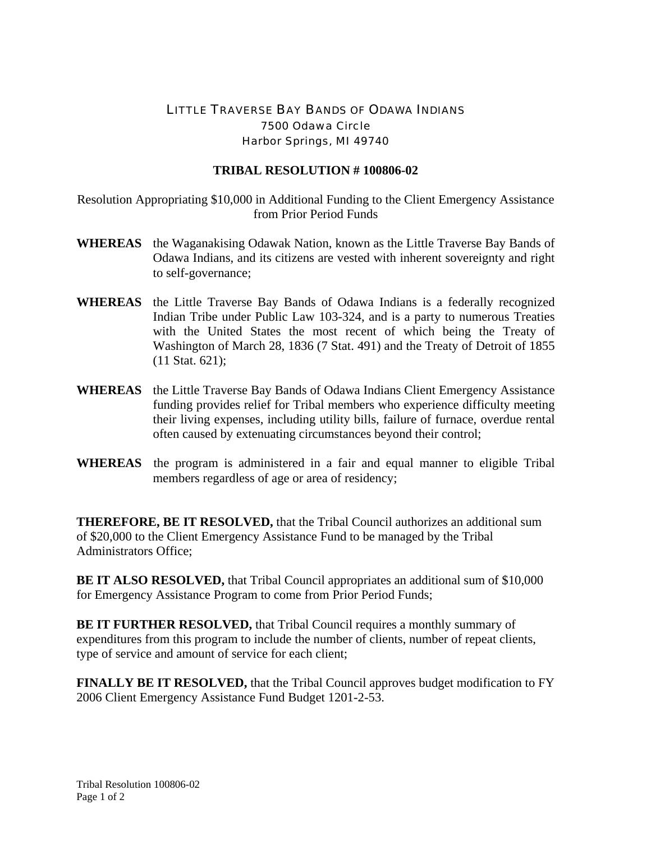## LITTLE TRAVERSE BAY BANDS OF ODAWA INDIANS 7500 Odawa Circle Harbor Springs, MI 49740

## **TRIBAL RESOLUTION # 100806-02**

Resolution Appropriating \$10,000 in Additional Funding to the Client Emergency Assistance from Prior Period Funds

- **WHEREAS** the Waganakising Odawak Nation, known as the Little Traverse Bay Bands of Odawa Indians, and its citizens are vested with inherent sovereignty and right to self-governance;
- **WHEREAS** the Little Traverse Bay Bands of Odawa Indians is a federally recognized Indian Tribe under Public Law 103-324, and is a party to numerous Treaties with the United States the most recent of which being the Treaty of Washington of March 28, 1836 (7 Stat. 491) and the Treaty of Detroit of 1855 (11 Stat. 621);
- **WHEREAS** the Little Traverse Bay Bands of Odawa Indians Client Emergency Assistance funding provides relief for Tribal members who experience difficulty meeting their living expenses, including utility bills, failure of furnace, overdue rental often caused by extenuating circumstances beyond their control;
- **WHEREAS** the program is administered in a fair and equal manner to eligible Tribal members regardless of age or area of residency;

**THEREFORE, BE IT RESOLVED,** that the Tribal Council authorizes an additional sum of \$20,000 to the Client Emergency Assistance Fund to be managed by the Tribal Administrators Office;

**BE IT ALSO RESOLVED,** that Tribal Council appropriates an additional sum of \$10,000 for Emergency Assistance Program to come from Prior Period Funds;

**BE IT FURTHER RESOLVED, that Tribal Council requires a monthly summary of** expenditures from this program to include the number of clients, number of repeat clients, type of service and amount of service for each client;

**FINALLY BE IT RESOLVED,** that the Tribal Council approves budget modification to FY 2006 Client Emergency Assistance Fund Budget 1201-2-53.